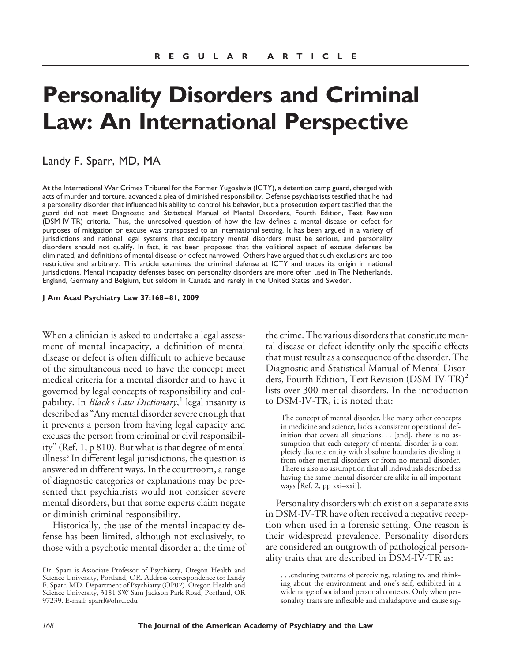# **Personality Disorders and Criminal Law: An International Perspective**

## Landy F. Sparr, MD, MA

At the International War Crimes Tribunal for the Former Yugoslavia (ICTY), a detention camp guard, charged with acts of murder and torture, advanced a plea of diminished responsibility. Defense psychiatrists testified that he had a personality disorder that influenced his ability to control his behavior, but a prosecution expert testified that the guard did not meet Diagnostic and Statistical Manual of Mental Disorders, Fourth Edition, Text Revision (DSM-IV-TR) criteria. Thus, the unresolved question of how the law defines a mental disease or defect for purposes of mitigation or excuse was transposed to an international setting. It has been argued in a variety of jurisdictions and national legal systems that exculpatory mental disorders must be serious, and personality disorders should not qualify. In fact, it has been proposed that the volitional aspect of excuse defenses be eliminated, and definitions of mental disease or defect narrowed. Others have argued that such exclusions are too restrictive and arbitrary. This article examines the criminal defense at ICTY and traces its origin in national jurisdictions. Mental incapacity defenses based on personality disorders are more often used in The Netherlands, England, Germany and Belgium, but seldom in Canada and rarely in the United States and Sweden.

**J Am Acad Psychiatry Law 37:168 – 81, 2009**

When a clinician is asked to undertake a legal assessment of mental incapacity, a definition of mental disease or defect is often difficult to achieve because of the simultaneous need to have the concept meet medical criteria for a mental disorder and to have it governed by legal concepts of responsibility and culpability. In *Black's Law Dictionary*, <sup>1</sup> legal insanity is described as "Any mental disorder severe enough that it prevents a person from having legal capacity and excuses the person from criminal or civil responsibility" (Ref. 1, p 810). But what is that degree of mental illness? In different legal jurisdictions, the question is answered in different ways. In the courtroom, a range of diagnostic categories or explanations may be presented that psychiatrists would not consider severe mental disorders, but that some experts claim negate or diminish criminal responsibility.

Historically, the use of the mental incapacity defense has been limited, although not exclusively, to those with a psychotic mental disorder at the time of the crime. The various disorders that constitute mental disease or defect identify only the specific effects that must result as a consequence of the disorder. The Diagnostic and Statistical Manual of Mental Disorders, Fourth Edition, Text Revision (DSM-IV-TR)<sup>2</sup> lists over 300 mental disorders. In the introduction to DSM-IV-TR, it is noted that:

The concept of mental disorder, like many other concepts in medicine and science, lacks a consistent operational definition that covers all situations. . . [and], there is no assumption that each category of mental disorder is a completely discrete entity with absolute boundaries dividing it from other mental disorders or from no mental disorder. There is also no assumption that all individuals described as having the same mental disorder are alike in all important ways [Ref. 2, pp xxi–xxii].

Personality disorders which exist on a separate axis in DSM-IV-TR have often received a negative reception when used in a forensic setting. One reason is their widespread prevalence. Personality disorders are considered an outgrowth of pathological personality traits that are described in DSM-IV-TR as:

Dr. Sparr is Associate Professor of Psychiatry, Oregon Health and Science University, Portland, OR. Address correspondence to: Landy F. Sparr, MD, Department of Psychiatry (OP02), Oregon Health and Science University, 3181 SW Sam Jackson Park Road, Portland, OR 97239. E-mail: sparrl@ohsu.edu

<sup>. . .</sup>enduring patterns of perceiving, relating to, and thinking about the environment and one's self, exhibited in a wide range of social and personal contexts. Only when personality traits are inflexible and maladaptive and cause sig-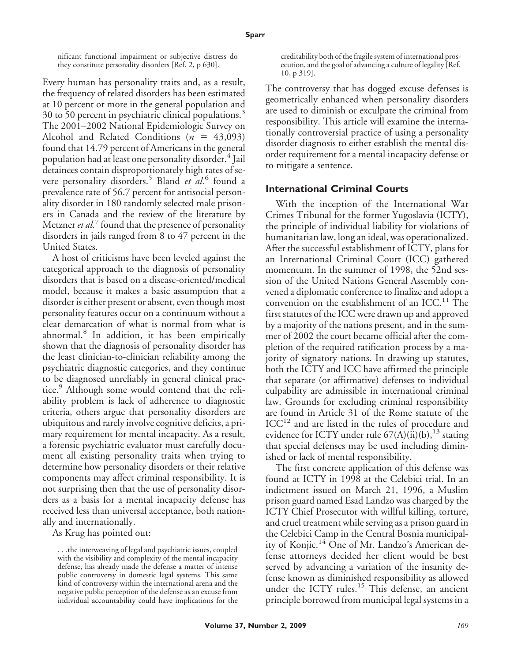nificant functional impairment or subjective distress do they constitute personality disorders [Ref. 2, p 630].

Every human has personality traits and, as a result, the frequency of related disorders has been estimated at 10 percent or more in the general population and 30 to 50 percent in psychiatric clinical populations.<sup>3</sup> The 2001–2002 National Epidemiologic Survey on Alcohol and Related Conditions  $(n = 43,093)$ found that 14.79 percent of Americans in the general population had at least one personality disorder.<sup>4</sup> Jail detainees contain disproportionately high rates of severe personality disorders.<sup>5</sup> Bland *et al.*<sup>6</sup> found a prevalence rate of 56.7 percent for antisocial personality disorder in 180 randomly selected male prisoners in Canada and the review of the literature by Metzner *et al.*<sup>7</sup> found that the presence of personality disorders in jails ranged from 8 to 47 percent in the United States.

A host of criticisms have been leveled against the categorical approach to the diagnosis of personality disorders that is based on a disease-oriented/medical model, because it makes a basic assumption that a disorder is either present or absent, even though most personality features occur on a continuum without a clear demarcation of what is normal from what is abnormal.<sup>8</sup> In addition, it has been empirically shown that the diagnosis of personality disorder has the least clinician-to-clinician reliability among the psychiatric diagnostic categories, and they continue to be diagnosed unreliably in general clinical practice.<sup>9</sup> Although some would contend that the reliability problem is lack of adherence to diagnostic criteria, others argue that personality disorders are ubiquitous and rarely involve cognitive deficits, a primary requirement for mental incapacity. As a result, a forensic psychiatric evaluator must carefully document all existing personality traits when trying to determine how personality disorders or their relative components may affect criminal responsibility. It is not surprising then that the use of personality disorders as a basis for a mental incapacity defense has received less than universal acceptance, both nationally and internationally.

As Krug has pointed out:

. . .the interweaving of legal and psychiatric issues, coupled with the visibility and complexity of the mental incapacity defense, has already made the defense a matter of intense public controversy in domestic legal systems. This same kind of controversy within the international arena and the negative public perception of the defense as an excuse from individual accountability could have implications for the

creditability both of the fragile system of international prosecution, and the goal of advancing a culture of legality [Ref. 10, p 319].

The controversy that has dogged excuse defenses is geometrically enhanced when personality disorders are used to diminish or exculpate the criminal from responsibility. This article will examine the internationally controversial practice of using a personality disorder diagnosis to either establish the mental disorder requirement for a mental incapacity defense or to mitigate a sentence.

#### **International Criminal Courts**

With the inception of the International War Crimes Tribunal for the former Yugoslavia (ICTY), the principle of individual liability for violations of humanitarian law, long an ideal, was operationalized. After the successful establishment of ICTY, plans for an International Criminal Court (ICC) gathered momentum. In the summer of 1998, the 52nd session of the United Nations General Assembly convened a diplomatic conference to finalize and adopt a convention on the establishment of an  $ICC.^{11}$ . The first statutes of the ICC were drawn up and approved by a majority of the nations present, and in the summer of 2002 the court became official after the completion of the required ratification process by a majority of signatory nations. In drawing up statutes, both the ICTY and ICC have affirmed the principle that separate (or affirmative) defenses to individual culpability are admissible in international criminal law. Grounds for excluding criminal responsibility are found in Article 31 of the Rome statute of the  $ICC<sup>12</sup>$  and are listed in the rules of procedure and evidence for ICTY under rule  $67(A)(ii)(b)$ ,<sup>13</sup> stating that special defenses may be used including diminished or lack of mental responsibility.

The first concrete application of this defense was found at ICTY in 1998 at the Celebici trial. In an indictment issued on March 21, 1996, a Muslim prison guard named Esad Landzo was charged by the ICTY Chief Prosecutor with willful killing, torture, and cruel treatment while serving as a prison guard in the Celebici Camp in the Central Bosnia municipality of Konjic.<sup>14</sup> One of Mr. Landzo's American defense attorneys decided her client would be best served by advancing a variation of the insanity defense known as diminished responsibility as allowed under the ICTY rules.<sup>15</sup> This defense, an ancient principle borrowed from municipal legal systems in a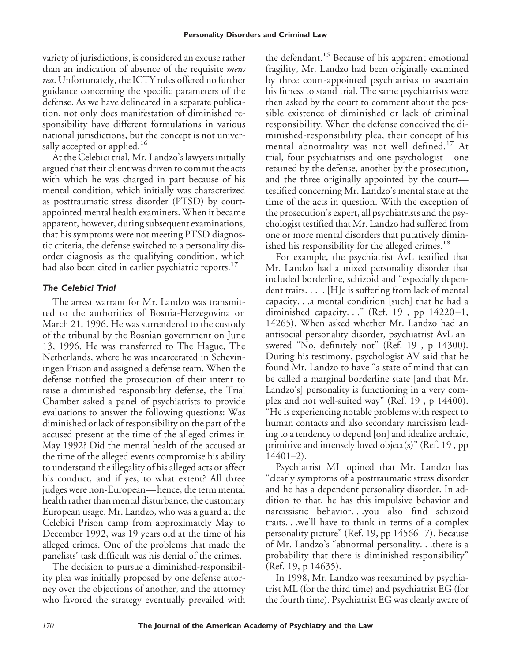variety of jurisdictions, is considered an excuse rather than an indication of absence of the requisite *mens rea*. Unfortunately, the ICTY rules offered no further guidance concerning the specific parameters of the defense. As we have delineated in a separate publication, not only does manifestation of diminished responsibility have different formulations in various national jurisdictions, but the concept is not universally accepted or applied.<sup>16</sup>

At the Celebici trial, Mr. Landzo's lawyers initially argued that their client was driven to commit the acts with which he was charged in part because of his mental condition, which initially was characterized as posttraumatic stress disorder (PTSD) by courtappointed mental health examiners. When it became apparent, however, during subsequent examinations, that his symptoms were not meeting PTSD diagnostic criteria, the defense switched to a personality disorder diagnosis as the qualifying condition, which had also been cited in earlier psychiatric reports.<sup>17</sup>

## *The Celebici Trial*

The arrest warrant for Mr. Landzo was transmitted to the authorities of Bosnia-Herzegovina on March 21, 1996. He was surrendered to the custody of the tribunal by the Bosnian government on June 13, 1996. He was transferred to The Hague, The Netherlands, where he was incarcerated in Scheviningen Prison and assigned a defense team. When the defense notified the prosecution of their intent to raise a diminished-responsibility defense, the Trial Chamber asked a panel of psychiatrists to provide evaluations to answer the following questions: Was diminished or lack of responsibility on the part of the accused present at the time of the alleged crimes in May 1992? Did the mental health of the accused at the time of the alleged events compromise his ability to understand the illegality of his alleged acts or affect his conduct, and if yes, to what extent? All three judges were non-European— hence, the term mental health rather than mental disturbance, the customary European usage. Mr. Landzo, who was a guard at the Celebici Prison camp from approximately May to December 1992, was 19 years old at the time of his alleged crimes. One of the problems that made the panelists' task difficult was his denial of the crimes.

The decision to pursue a diminished-responsibility plea was initially proposed by one defense attorney over the objections of another, and the attorney who favored the strategy eventually prevailed with the defendant.<sup>15</sup> Because of his apparent emotional fragility, Mr. Landzo had been originally examined by three court-appointed psychiatrists to ascertain his fitness to stand trial. The same psychiatrists were then asked by the court to comment about the possible existence of diminished or lack of criminal responsibility. When the defense conceived the diminished-responsibility plea, their concept of his mental abnormality was not well defined.<sup>17</sup> At trial, four psychiatrists and one psychologist—one retained by the defense, another by the prosecution, and the three originally appointed by the court testified concerning Mr. Landzo's mental state at the time of the acts in question. With the exception of the prosecution's expert, all psychiatrists and the psychologist testified that Mr. Landzo had suffered from one or more mental disorders that putatively diminished his responsibility for the alleged crimes.<sup>18</sup>

For example, the psychiatrist AvL testified that Mr. Landzo had a mixed personality disorder that included borderline, schizoid and "especially dependent traits. . . . [H]e is suffering from lack of mental capacity. . .a mental condition [such] that he had a diminished capacity. . ." (Ref. 19, pp 14220-1, 14265). When asked whether Mr. Landzo had an antisocial personality disorder, psychiatrist AvL answered "No, definitely not" (Ref. 19 , p 14300). During his testimony, psychologist AV said that he found Mr. Landzo to have "a state of mind that can be called a marginal borderline state [and that Mr. Landzo's] personality is functioning in a very complex and not well-suited way" (Ref. 19 , p 14400). "He is experiencing notable problems with respect to human contacts and also secondary narcissism leading to a tendency to depend [on] and idealize archaic, primitive and intensely loved object(s)" (Ref. 19 , pp  $14401-2$ ).

Psychiatrist ML opined that Mr. Landzo has "clearly symptoms of a posttraumatic stress disorder and he has a dependent personality disorder. In addition to that, he has this impulsive behavior and narcissistic behavior. . .you also find schizoid traits. . .we'll have to think in terms of a complex personality picture" (Ref. 19, pp 14566 –7). Because of Mr. Landzo's "abnormal personality. . .there is a probability that there is diminished responsibility" (Ref. 19, p 14635).

In 1998, Mr. Landzo was reexamined by psychiatrist ML (for the third time) and psychiatrist EG (for the fourth time). Psychiatrist EG was clearly aware of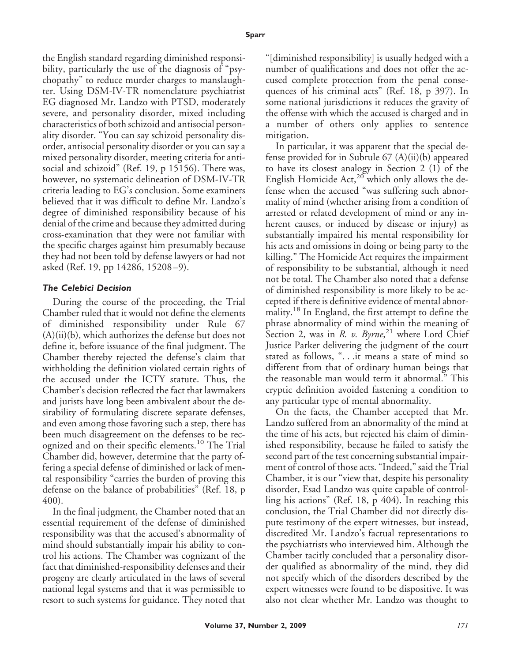the English standard regarding diminished responsibility, particularly the use of the diagnosis of "psychopathy" to reduce murder charges to manslaughter. Using DSM-IV-TR nomenclature psychiatrist EG diagnosed Mr. Landzo with PTSD, moderately severe, and personality disorder, mixed including characteristics of both schizoid and antisocial personality disorder. "You can say schizoid personality disorder, antisocial personality disorder or you can say a mixed personality disorder, meeting criteria for antisocial and schizoid" (Ref. 19, p 15156). There was, however, no systematic delineation of DSM-IV-TR criteria leading to EG's conclusion. Some examiners believed that it was difficult to define Mr. Landzo's degree of diminished responsibility because of his denial of the crime and because they admitted during cross-examination that they were not familiar with the specific charges against him presumably because they had not been told by defense lawyers or had not asked (Ref. 19, pp 14286, 15208 –9).

#### *The Celebici Decision*

During the course of the proceeding, the Trial Chamber ruled that it would not define the elements of diminished responsibility under Rule 67 (A)(ii)(b), which authorizes the defense but does not define it, before issuance of the final judgment. The Chamber thereby rejected the defense's claim that withholding the definition violated certain rights of the accused under the ICTY statute. Thus, the Chamber's decision reflected the fact that lawmakers and jurists have long been ambivalent about the desirability of formulating discrete separate defenses, and even among those favoring such a step, there has been much disagreement on the defenses to be recognized and on their specific elements.<sup>10</sup> The Trial Chamber did, however, determine that the party offering a special defense of diminished or lack of mental responsibility "carries the burden of proving this defense on the balance of probabilities" (Ref. 18, p 400).

In the final judgment, the Chamber noted that an essential requirement of the defense of diminished responsibility was that the accused's abnormality of mind should substantially impair his ability to control his actions. The Chamber was cognizant of the fact that diminished-responsibility defenses and their progeny are clearly articulated in the laws of several national legal systems and that it was permissible to resort to such systems for guidance. They noted that

"[diminished responsibility] is usually hedged with a number of qualifications and does not offer the accused complete protection from the penal consequences of his criminal acts" (Ref. 18, p 397). In some national jurisdictions it reduces the gravity of the offense with which the accused is charged and in a number of others only applies to sentence mitigation.

In particular, it was apparent that the special defense provided for in Subrule 67 (A)(ii)(b) appeared to have its closest analogy in Section 2 (1) of the English Homicide Act, $20$  which only allows the defense when the accused "was suffering such abnormality of mind (whether arising from a condition of arrested or related development of mind or any inherent causes, or induced by disease or injury) as substantially impaired his mental responsibility for his acts and omissions in doing or being party to the killing." The Homicide Act requires the impairment of responsibility to be substantial, although it need not be total. The Chamber also noted that a defense of diminished responsibility is more likely to be accepted if there is definitive evidence of mental abnormality.<sup>18</sup> In England, the first attempt to define the phrase abnormality of mind within the meaning of Section 2, was in *R. v. Byrne*, <sup>21</sup> where Lord Chief Justice Parker delivering the judgment of the court stated as follows, ". . .it means a state of mind so different from that of ordinary human beings that the reasonable man would term it abnormal." This cryptic definition avoided fastening a condition to any particular type of mental abnormality.

On the facts, the Chamber accepted that Mr. Landzo suffered from an abnormality of the mind at the time of his acts, but rejected his claim of diminished responsibility, because he failed to satisfy the second part of the test concerning substantial impairment of control of those acts. "Indeed," said the Trial Chamber, it is our "view that, despite his personality disorder, Esad Landzo was quite capable of controlling his actions" (Ref. 18, p 404). In reaching this conclusion, the Trial Chamber did not directly dispute testimony of the expert witnesses, but instead, discredited Mr. Landzo's factual representations to the psychiatrists who interviewed him. Although the Chamber tacitly concluded that a personality disorder qualified as abnormality of the mind, they did not specify which of the disorders described by the expert witnesses were found to be dispositive. It was also not clear whether Mr. Landzo was thought to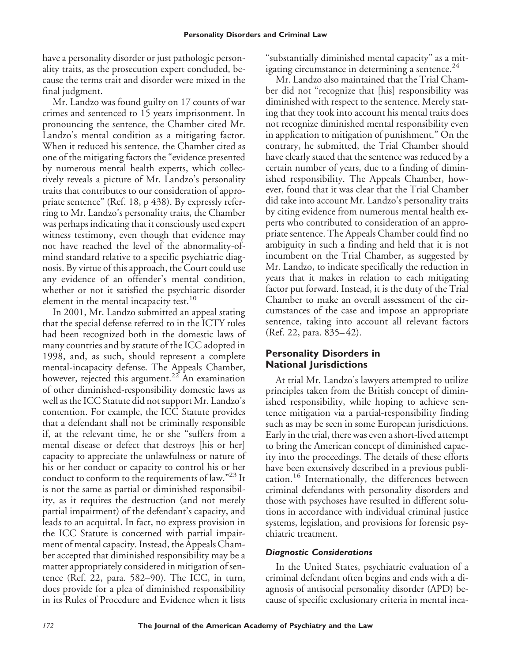have a personality disorder or just pathologic personality traits, as the prosecution expert concluded, because the terms trait and disorder were mixed in the final judgment.

Mr. Landzo was found guilty on 17 counts of war crimes and sentenced to 15 years imprisonment. In pronouncing the sentence, the Chamber cited Mr. Landzo's mental condition as a mitigating factor. When it reduced his sentence, the Chamber cited as one of the mitigating factors the "evidence presented by numerous mental health experts, which collectively reveals a picture of Mr. Landzo's personality traits that contributes to our consideration of appropriate sentence" (Ref. 18, p 438). By expressly referring to Mr. Landzo's personality traits, the Chamber was perhaps indicating that it consciously used expert witness testimony, even though that evidence may not have reached the level of the abnormality-ofmind standard relative to a specific psychiatric diagnosis. By virtue of this approach, the Court could use any evidence of an offender's mental condition, whether or not it satisfied the psychiatric disorder element in the mental incapacity test.<sup>10</sup>

In 2001, Mr. Landzo submitted an appeal stating that the special defense referred to in the ICTY rules had been recognized both in the domestic laws of many countries and by statute of the ICC adopted in 1998, and, as such, should represent a complete mental-incapacity defense. The Appeals Chamber, however, rejected this argument.<sup>22</sup> An examination of other diminished-responsibility domestic laws as well as the ICC Statute did not support Mr. Landzo's contention. For example, the ICC Statute provides that a defendant shall not be criminally responsible if, at the relevant time, he or she "suffers from a mental disease or defect that destroys [his or her] capacity to appreciate the unlawfulness or nature of his or her conduct or capacity to control his or her conduct to conform to the requirements of law."<sup>23</sup> It is not the same as partial or diminished responsibility, as it requires the destruction (and not merely partial impairment) of the defendant's capacity, and leads to an acquittal. In fact, no express provision in the ICC Statute is concerned with partial impairment of mental capacity. Instead, the Appeals Chamber accepted that diminished responsibility may be a matter appropriately considered in mitigation of sentence (Ref. 22, para. 582–90). The ICC, in turn, does provide for a plea of diminished responsibility in its Rules of Procedure and Evidence when it lists

"substantially diminished mental capacity" as a mitigating circumstance in determining a sentence. $^{24}$ 

Mr. Landzo also maintained that the Trial Chamber did not "recognize that [his] responsibility was diminished with respect to the sentence. Merely stating that they took into account his mental traits does not recognize diminished mental responsibility even in application to mitigation of punishment." On the contrary, he submitted, the Trial Chamber should have clearly stated that the sentence was reduced by a certain number of years, due to a finding of diminished responsibility. The Appeals Chamber, however, found that it was clear that the Trial Chamber did take into account Mr. Landzo's personality traits by citing evidence from numerous mental health experts who contributed to consideration of an appropriate sentence. The Appeals Chamber could find no ambiguity in such a finding and held that it is not incumbent on the Trial Chamber, as suggested by Mr. Landzo, to indicate specifically the reduction in years that it makes in relation to each mitigating factor put forward. Instead, it is the duty of the Trial Chamber to make an overall assessment of the circumstances of the case and impose an appropriate sentence, taking into account all relevant factors (Ref. 22, para. 835– 42).

## **Personality Disorders in National Jurisdictions**

At trial Mr. Landzo's lawyers attempted to utilize principles taken from the British concept of diminished responsibility, while hoping to achieve sentence mitigation via a partial-responsibility finding such as may be seen in some European jurisdictions. Early in the trial, there was even a short-lived attempt to bring the American concept of diminished capacity into the proceedings. The details of these efforts have been extensively described in a previous publication.<sup>16</sup> Internationally, the differences between criminal defendants with personality disorders and those with psychoses have resulted in different solutions in accordance with individual criminal justice systems, legislation, and provisions for forensic psychiatric treatment.

### *Diagnostic Considerations*

In the United States, psychiatric evaluation of a criminal defendant often begins and ends with a diagnosis of antisocial personality disorder (APD) because of specific exclusionary criteria in mental inca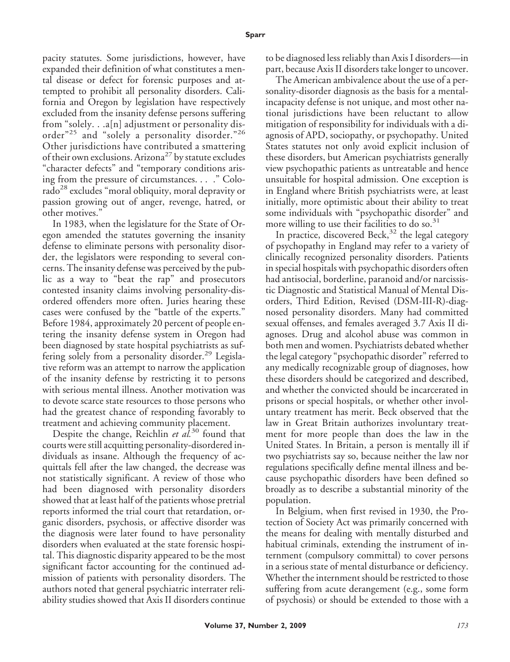pacity statutes. Some jurisdictions, however, have expanded their definition of what constitutes a mental disease or defect for forensic purposes and attempted to prohibit all personality disorders. California and Oregon by legislation have respectively excluded from the insanity defense persons suffering from "solely. . .a[n] adjustment or personality disorder<sup>"25</sup> and "solely a personality disorder."<sup>26</sup> Other jurisdictions have contributed a smattering of their own exclusions. Arizona<sup>27</sup> by statute excludes "character defects" and "temporary conditions arising from the pressure of circumstances. . . ." Colorado<sup>28</sup> excludes "moral obliquity, moral depravity or passion growing out of anger, revenge, hatred, or other motives."

In 1983, when the legislature for the State of Oregon amended the statutes governing the insanity defense to eliminate persons with personality disorder, the legislators were responding to several concerns. The insanity defense was perceived by the public as a way to "beat the rap" and prosecutors contested insanity claims involving personality-disordered offenders more often. Juries hearing these cases were confused by the "battle of the experts." Before 1984, approximately 20 percent of people entering the insanity defense system in Oregon had been diagnosed by state hospital psychiatrists as suffering solely from a personality disorder.<sup>29</sup> Legislative reform was an attempt to narrow the application of the insanity defense by restricting it to persons with serious mental illness. Another motivation was to devote scarce state resources to those persons who had the greatest chance of responding favorably to treatment and achieving community placement.

Despite the change, Reichlin *et al.*<sup>30</sup> found that courts were still acquitting personality-disordered individuals as insane. Although the frequency of acquittals fell after the law changed, the decrease was not statistically significant. A review of those who had been diagnosed with personality disorders showed that at least half of the patients whose pretrial reports informed the trial court that retardation, organic disorders, psychosis, or affective disorder was the diagnosis were later found to have personality disorders when evaluated at the state forensic hospital. This diagnostic disparity appeared to be the most significant factor accounting for the continued admission of patients with personality disorders. The authors noted that general psychiatric interrater reliability studies showed that Axis II disorders continue to be diagnosed less reliably than Axis I disorders—in part, because Axis II disorders take longer to uncover.

The American ambivalence about the use of a personality-disorder diagnosis as the basis for a mentalincapacity defense is not unique, and most other national jurisdictions have been reluctant to allow mitigation of responsibility for individuals with a diagnosis of APD, sociopathy, or psychopathy. United States statutes not only avoid explicit inclusion of these disorders, but American psychiatrists generally view psychopathic patients as untreatable and hence unsuitable for hospital admission. One exception is in England where British psychiatrists were, at least initially, more optimistic about their ability to treat some individuals with "psychopathic disorder" and more willing to use their facilities to do so.<sup>31</sup>

In practice, discovered Beck, $32$  the legal category of psychopathy in England may refer to a variety of clinically recognized personality disorders. Patients in special hospitals with psychopathic disorders often had antisocial, borderline, paranoid and/or narcissistic Diagnostic and Statistical Manual of Mental Disorders, Third Edition, Revised (DSM-III-R)-diagnosed personality disorders. Many had committed sexual offenses, and females averaged 3.7 Axis II diagnoses. Drug and alcohol abuse was common in both men and women. Psychiatrists debated whether the legal category "psychopathic disorder" referred to any medically recognizable group of diagnoses, how these disorders should be categorized and described, and whether the convicted should be incarcerated in prisons or special hospitals, or whether other involuntary treatment has merit. Beck observed that the law in Great Britain authorizes involuntary treatment for more people than does the law in the United States. In Britain, a person is mentally ill if two psychiatrists say so, because neither the law nor regulations specifically define mental illness and because psychopathic disorders have been defined so broadly as to describe a substantial minority of the population.

In Belgium, when first revised in 1930, the Protection of Society Act was primarily concerned with the means for dealing with mentally disturbed and habitual criminals, extending the instrument of internment (compulsory committal) to cover persons in a serious state of mental disturbance or deficiency. Whether the internment should be restricted to those suffering from acute derangement (e.g., some form of psychosis) or should be extended to those with a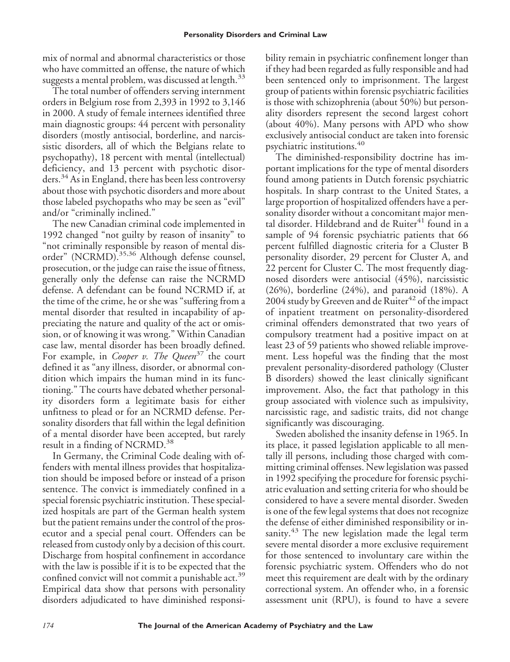mix of normal and abnormal characteristics or those who have committed an offense, the nature of which suggests a mental problem, was discussed at length. $33$ 

The total number of offenders serving internment orders in Belgium rose from 2,393 in 1992 to 3,146 in 2000. A study of female internees identified three main diagnostic groups: 44 percent with personality disorders (mostly antisocial, borderline, and narcissistic disorders, all of which the Belgians relate to psychopathy), 18 percent with mental (intellectual) deficiency, and 13 percent with psychotic disorders.<sup>34</sup> As in England, there has been less controversy about those with psychotic disorders and more about those labeled psychopaths who may be seen as "evil" and/or "criminally inclined."

The new Canadian criminal code implemented in 1992 changed "not guilty by reason of insanity" to "not criminally responsible by reason of mental disorder" (NCRMD).<sup>35,36</sup> Although defense counsel, prosecution, or the judge can raise the issue of fitness, generally only the defense can raise the NCRMD defense. A defendant can be found NCRMD if, at the time of the crime, he or she was "suffering from a mental disorder that resulted in incapability of appreciating the nature and quality of the act or omission, or of knowing it was wrong." Within Canadian case law, mental disorder has been broadly defined. For example, in *Cooper v. The Queen*<sup>37</sup> the court defined it as "any illness, disorder, or abnormal condition which impairs the human mind in its functioning." The courts have debated whether personality disorders form a legitimate basis for either unfitness to plead or for an NCRMD defense. Personality disorders that fall within the legal definition of a mental disorder have been accepted, but rarely result in a finding of NCRMD.<sup>38</sup>

In Germany, the Criminal Code dealing with offenders with mental illness provides that hospitalization should be imposed before or instead of a prison sentence. The convict is immediately confined in a special forensic psychiatric institution. These specialized hospitals are part of the German health system but the patient remains under the control of the prosecutor and a special penal court. Offenders can be released from custody only by a decision of this court. Discharge from hospital confinement in accordance with the law is possible if it is to be expected that the confined convict will not commit a punishable act.<sup>39</sup> Empirical data show that persons with personality disorders adjudicated to have diminished responsibility remain in psychiatric confinement longer than if they had been regarded as fully responsible and had been sentenced only to imprisonment. The largest group of patients within forensic psychiatric facilities is those with schizophrenia (about 50%) but personality disorders represent the second largest cohort (about 40%). Many persons with APD who show exclusively antisocial conduct are taken into forensic psychiatric institutions.<sup>40</sup>

The diminished-responsibility doctrine has important implications for the type of mental disorders found among patients in Dutch forensic psychiatric hospitals. In sharp contrast to the United States, a large proportion of hospitalized offenders have a personality disorder without a concomitant major mental disorder. Hildebrand and de Ruiter<sup>41</sup> found in a sample of 94 forensic psychiatric patients that 66 percent fulfilled diagnostic criteria for a Cluster B personality disorder, 29 percent for Cluster A, and 22 percent for Cluster C. The most frequently diagnosed disorders were antisocial (45%), narcissistic (26%), borderline (24%), and paranoid (18%). A 2004 study by Greeven and de Ruiter $42$  of the impact of inpatient treatment on personality-disordered criminal offenders demonstrated that two years of compulsory treatment had a positive impact on at least 23 of 59 patients who showed reliable improvement. Less hopeful was the finding that the most prevalent personality-disordered pathology (Cluster B disorders) showed the least clinically significant improvement. Also, the fact that pathology in this group associated with violence such as impulsivity, narcissistic rage, and sadistic traits, did not change significantly was discouraging.

Sweden abolished the insanity defense in 1965. In its place, it passed legislation applicable to all mentally ill persons, including those charged with committing criminal offenses. New legislation was passed in 1992 specifying the procedure for forensic psychiatric evaluation and setting criteria for who should be considered to have a severe mental disorder. Sweden is one of the few legal systems that does not recognize the defense of either diminished responsibility or insanity.<sup>43</sup> The new legislation made the legal term severe mental disorder a more exclusive requirement for those sentenced to involuntary care within the forensic psychiatric system. Offenders who do not meet this requirement are dealt with by the ordinary correctional system. An offender who, in a forensic assessment unit (RPU), is found to have a severe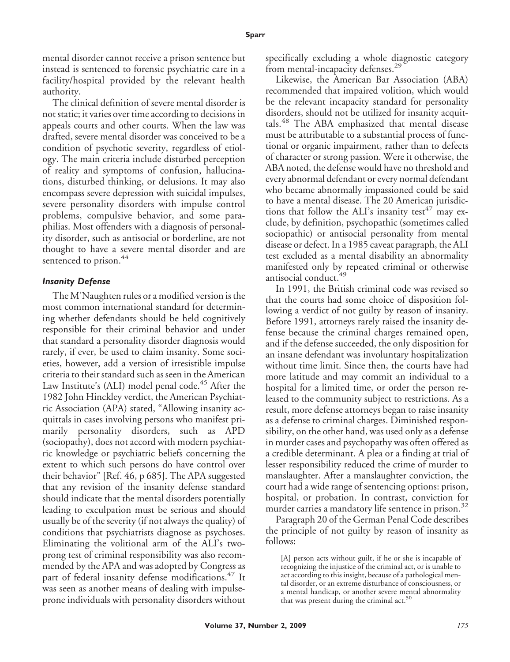mental disorder cannot receive a prison sentence but instead is sentenced to forensic psychiatric care in a facility/hospital provided by the relevant health authority.

The clinical definition of severe mental disorder is not static; it varies over time according to decisions in appeals courts and other courts. When the law was drafted, severe mental disorder was conceived to be a condition of psychotic severity, regardless of etiology. The main criteria include disturbed perception of reality and symptoms of confusion, hallucinations, disturbed thinking, or delusions. It may also encompass severe depression with suicidal impulses, severe personality disorders with impulse control problems, compulsive behavior, and some paraphilias. Most offenders with a diagnosis of personality disorder, such as antisocial or borderline, are not thought to have a severe mental disorder and are sentenced to prison.<sup>44</sup>

#### *Insanity Defense*

The M'Naughten rules or a modified version is the most common international standard for determining whether defendants should be held cognitively responsible for their criminal behavior and under that standard a personality disorder diagnosis would rarely, if ever, be used to claim insanity. Some societies, however, add a version of irresistible impulse criteria to their standard such as seen in the American Law Institute's (ALI) model penal code.<sup>45</sup> After the 1982 John Hinckley verdict, the American Psychiatric Association (APA) stated, "Allowing insanity acquittals in cases involving persons who manifest primarily personality disorders, such as APD (sociopathy), does not accord with modern psychiatric knowledge or psychiatric beliefs concerning the extent to which such persons do have control over their behavior" [Ref. 46, p 685]. The APA suggested that any revision of the insanity defense standard should indicate that the mental disorders potentially leading to exculpation must be serious and should usually be of the severity (if not always the quality) of conditions that psychiatrists diagnose as psychoses. Eliminating the volitional arm of the ALI's twoprong test of criminal responsibility was also recommended by the APA and was adopted by Congress as part of federal insanity defense modifications.<sup>47</sup> It was seen as another means of dealing with impulseprone individuals with personality disorders without specifically excluding a whole diagnostic category from mental-incapacity defenses.<sup>29</sup>

Likewise, the American Bar Association (ABA) recommended that impaired volition, which would be the relevant incapacity standard for personality disorders, should not be utilized for insanity acquittals.<sup>48</sup> The ABA emphasized that mental disease must be attributable to a substantial process of functional or organic impairment, rather than to defects of character or strong passion. Were it otherwise, the ABA noted, the defense would have no threshold and every abnormal defendant or every normal defendant who became abnormally impassioned could be said to have a mental disease. The 20 American jurisdictions that follow the ALI's insanity test<sup>47</sup> may exclude, by definition, psychopathic (sometimes called sociopathic) or antisocial personality from mental disease or defect. In a 1985 caveat paragraph, the ALI test excluded as a mental disability an abnormality manifested only by repeated criminal or otherwise antisocial conduct.<sup>49</sup>

In 1991, the British criminal code was revised so that the courts had some choice of disposition following a verdict of not guilty by reason of insanity. Before 1991, attorneys rarely raised the insanity defense because the criminal charges remained open, and if the defense succeeded, the only disposition for an insane defendant was involuntary hospitalization without time limit. Since then, the courts have had more latitude and may commit an individual to a hospital for a limited time, or order the person released to the community subject to restrictions. As a result, more defense attorneys began to raise insanity as a defense to criminal charges. Diminished responsibility, on the other hand, was used only as a defense in murder cases and psychopathy was often offered as a credible determinant. A plea or a finding at trial of lesser responsibility reduced the crime of murder to manslaughter. After a manslaughter conviction, the court had a wide range of sentencing options: prison, hospital, or probation. In contrast, conviction for murder carries a mandatory life sentence in prison.<sup>32</sup>

Paragraph 20 of the German Penal Code describes the principle of not guilty by reason of insanity as follows:

[A] person acts without guilt, if he or she is incapable of recognizing the injustice of the criminal act, or is unable to act according to this insight, because of a pathological mental disorder, or an extreme disturbance of consciousness, or a mental handicap, or another severe mental abnormality<br>that was present during the criminal act.<sup>50</sup>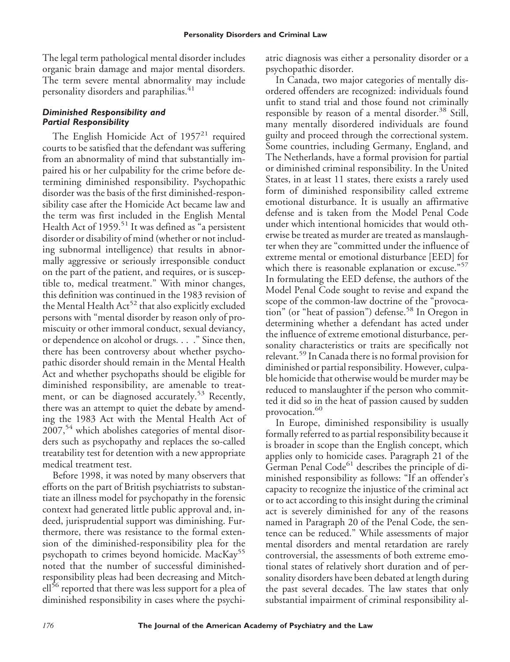The legal term pathological mental disorder includes organic brain damage and major mental disorders. The term severe mental abnormality may include personality disorders and paraphilias.<sup>41</sup>

### *Diminished Responsibility and Partial Responsibility*

The English Homicide Act of  $1957<sup>21</sup>$  required courts to be satisfied that the defendant was suffering from an abnormality of mind that substantially impaired his or her culpability for the crime before determining diminished responsibility. Psychopathic disorder was the basis of the first diminished-responsibility case after the Homicide Act became law and the term was first included in the English Mental Health Act of  $1959$ <sup>51</sup> It was defined as "a persistent disorder or disability of mind (whether or not including subnormal intelligence) that results in abnormally aggressive or seriously irresponsible conduct on the part of the patient, and requires, or is susceptible to, medical treatment." With minor changes, this definition was continued in the 1983 revision of the Mental Health  $Act^{52}$  that also explicitly excluded persons with "mental disorder by reason only of promiscuity or other immoral conduct, sexual deviancy, or dependence on alcohol or drugs. . . ." Since then, there has been controversy about whether psychopathic disorder should remain in the Mental Health Act and whether psychopaths should be eligible for diminished responsibility, are amenable to treatment, or can be diagnosed accurately.<sup>53</sup> Recently, there was an attempt to quiet the debate by amending the 1983 Act with the Mental Health Act of  $2007<sup>54</sup>$  which abolishes categories of mental disorders such as psychopathy and replaces the so-called treatability test for detention with a new appropriate medical treatment test.

Before 1998, it was noted by many observers that efforts on the part of British psychiatrists to substantiate an illness model for psychopathy in the forensic context had generated little public approval and, indeed, jurisprudential support was diminishing. Furthermore, there was resistance to the formal extension of the diminished-responsibility plea for the psychopath to crimes beyond homicide. MacKay<sup>55</sup> noted that the number of successful diminishedresponsibility pleas had been decreasing and Mitchell<sup>56</sup> reported that there was less support for a plea of diminished responsibility in cases where the psychiatric diagnosis was either a personality disorder or a psychopathic disorder.

In Canada, two major categories of mentally disordered offenders are recognized: individuals found unfit to stand trial and those found not criminally responsible by reason of a mental disorder.<sup>38</sup> Still, many mentally disordered individuals are found guilty and proceed through the correctional system. Some countries, including Germany, England, and The Netherlands, have a formal provision for partial or diminished criminal responsibility. In the United States, in at least 11 states, there exists a rarely used form of diminished responsibility called extreme emotional disturbance. It is usually an affirmative defense and is taken from the Model Penal Code under which intentional homicides that would otherwise be treated as murder are treated as manslaughter when they are "committed under the influence of extreme mental or emotional disturbance [EED] for which there is reasonable explanation or excuse."<sup>57</sup> In formulating the EED defense, the authors of the Model Penal Code sought to revise and expand the scope of the common-law doctrine of the "provocation" (or "heat of passion") defense.<sup>58</sup> In Oregon in determining whether a defendant has acted under the influence of extreme emotional disturbance, personality characteristics or traits are specifically not relevant.<sup>59</sup> In Canada there is no formal provision for diminished or partial responsibility. However, culpable homicide that otherwise would be murder may be reduced to manslaughter if the person who committed it did so in the heat of passion caused by sudden provocation.<sup>60</sup>

In Europe, diminished responsibility is usually formally referred to as partial responsibility because it is broader in scope than the English concept, which applies only to homicide cases. Paragraph 21 of the German Penal Code<sup>61</sup> describes the principle of diminished responsibility as follows: "If an offender's capacity to recognize the injustice of the criminal act or to act according to this insight during the criminal act is severely diminished for any of the reasons named in Paragraph 20 of the Penal Code, the sentence can be reduced." While assessments of major mental disorders and mental retardation are rarely controversial, the assessments of both extreme emotional states of relatively short duration and of personality disorders have been debated at length during the past several decades. The law states that only substantial impairment of criminal responsibility al-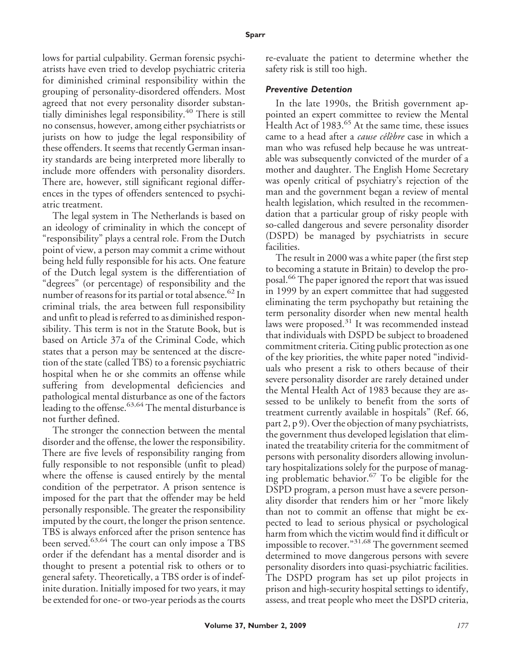lows for partial culpability. German forensic psychiatrists have even tried to develop psychiatric criteria for diminished criminal responsibility within the grouping of personality-disordered offenders. Most agreed that not every personality disorder substantially diminishes legal responsibility.<sup>40</sup> There is still no consensus, however, among either psychiatrists or jurists on how to judge the legal responsibility of these offenders. It seems that recently German insanity standards are being interpreted more liberally to include more offenders with personality disorders. There are, however, still significant regional differences in the types of offenders sentenced to psychiatric treatment.

The legal system in The Netherlands is based on an ideology of criminality in which the concept of "responsibility" plays a central role. From the Dutch point of view, a person may commit a crime without being held fully responsible for his acts. One feature of the Dutch legal system is the differentiation of "degrees" (or percentage) of responsibility and the number of reasons for its partial or total absence.<sup>62</sup> In criminal trials, the area between full responsibility and unfit to plead is referred to as diminished responsibility. This term is not in the Statute Book, but is based on Article 37a of the Criminal Code, which states that a person may be sentenced at the discretion of the state (called TBS) to a forensic psychiatric hospital when he or she commits an offense while suffering from developmental deficiencies and pathological mental disturbance as one of the factors leading to the offense.  $63,64$  The mental disturbance is not further defined.

The stronger the connection between the mental disorder and the offense, the lower the responsibility. There are five levels of responsibility ranging from fully responsible to not responsible (unfit to plead) where the offense is caused entirely by the mental condition of the perpetrator. A prison sentence is imposed for the part that the offender may be held personally responsible. The greater the responsibility imputed by the court, the longer the prison sentence. TBS is always enforced after the prison sentence has been served.<sup>63,64</sup> The court can only impose a TBS order if the defendant has a mental disorder and is thought to present a potential risk to others or to general safety. Theoretically, a TBS order is of indefinite duration. Initially imposed for two years, it may be extended for one- or two-year periods as the courts

re-evaluate the patient to determine whether the safety risk is still too high.

#### *Preventive Detention*

In the late 1990s, the British government appointed an expert committee to review the Mental Health Act of 1983.<sup>65</sup> At the same time, these issues came to a head after a *cause célèbre* case in which a man who was refused help because he was untreatable was subsequently convicted of the murder of a mother and daughter. The English Home Secretary was openly critical of psychiatry's rejection of the man and the government began a review of mental health legislation, which resulted in the recommendation that a particular group of risky people with so-called dangerous and severe personality disorder (DSPD) be managed by psychiatrists in secure facilities.

The result in 2000 was a white paper (the first step to becoming a statute in Britain) to develop the proposal.<sup>66</sup> The paper ignored the report that was issued in 1999 by an expert committee that had suggested eliminating the term psychopathy but retaining the term personality disorder when new mental health laws were proposed.<sup>31</sup> It was recommended instead that individuals with DSPD be subject to broadened commitment criteria. Citing public protection as one of the key priorities, the white paper noted "individuals who present a risk to others because of their severe personality disorder are rarely detained under the Mental Health Act of 1983 because they are assessed to be unlikely to benefit from the sorts of treatment currently available in hospitals" (Ref. 66, part 2, p 9). Over the objection of many psychiatrists, the government thus developed legislation that eliminated the treatability criteria for the commitment of persons with personality disorders allowing involuntary hospitalizations solely for the purpose of managing problematic behavior.<sup>67</sup> To be eligible for the DSPD program, a person must have a severe personality disorder that renders him or her "more likely than not to commit an offense that might be expected to lead to serious physical or psychological harm from which the victim would find it difficult or impossible to recover."31,68 The government seemed determined to move dangerous persons with severe personality disorders into quasi-psychiatric facilities. The DSPD program has set up pilot projects in prison and high-security hospital settings to identify, assess, and treat people who meet the DSPD criteria,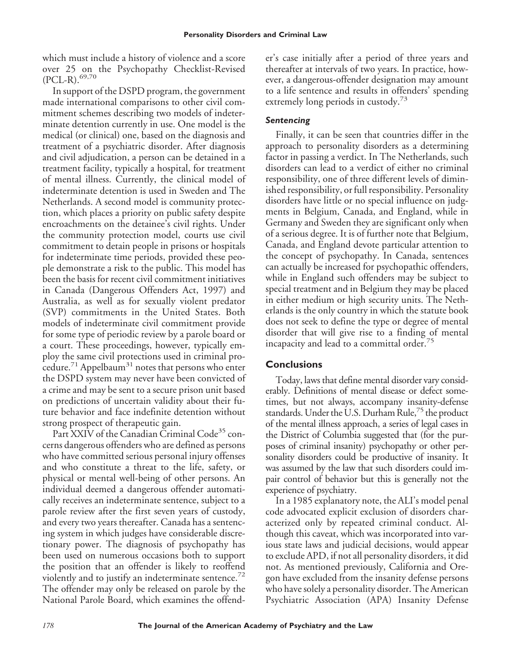which must include a history of violence and a score over 25 on the Psychopathy Checklist-Revised  $(PCL-R).<sup>69,70</sup>$ 

In support of the DSPD program, the government made international comparisons to other civil commitment schemes describing two models of indeterminate detention currently in use. One model is the medical (or clinical) one, based on the diagnosis and treatment of a psychiatric disorder. After diagnosis and civil adjudication, a person can be detained in a treatment facility, typically a hospital, for treatment of mental illness. Currently, the clinical model of indeterminate detention is used in Sweden and The Netherlands. A second model is community protection, which places a priority on public safety despite encroachments on the detainee's civil rights. Under the community protection model, courts use civil commitment to detain people in prisons or hospitals for indeterminate time periods, provided these people demonstrate a risk to the public. This model has been the basis for recent civil commitment initiatives in Canada (Dangerous Offenders Act, 1997) and Australia, as well as for sexually violent predator (SVP) commitments in the United States. Both models of indeterminate civil commitment provide for some type of periodic review by a parole board or a court. These proceedings, however, typically employ the same civil protections used in criminal procedure.<sup>71</sup> Appelbaum<sup>31</sup> notes that persons who enter the DSPD system may never have been convicted of a crime and may be sent to a secure prison unit based on predictions of uncertain validity about their future behavior and face indefinite detention without strong prospect of therapeutic gain.

Part XXIV of the Canadian Criminal Code<sup>35</sup> concerns dangerous offenders who are defined as persons who have committed serious personal injury offenses and who constitute a threat to the life, safety, or physical or mental well-being of other persons. An individual deemed a dangerous offender automatically receives an indeterminate sentence, subject to a parole review after the first seven years of custody, and every two years thereafter. Canada has a sentencing system in which judges have considerable discretionary power. The diagnosis of psychopathy has been used on numerous occasions both to support the position that an offender is likely to reoffend violently and to justify an indeterminate sentence.<sup>72</sup> The offender may only be released on parole by the National Parole Board, which examines the offender's case initially after a period of three years and thereafter at intervals of two years. In practice, however, a dangerous-offender designation may amount to a life sentence and results in offenders' spending extremely long periods in custody.<sup>73</sup>

## *Sentencing*

Finally, it can be seen that countries differ in the approach to personality disorders as a determining factor in passing a verdict. In The Netherlands, such disorders can lead to a verdict of either no criminal responsibility, one of three different levels of diminished responsibility, or full responsibility. Personality disorders have little or no special influence on judgments in Belgium, Canada, and England, while in Germany and Sweden they are significant only when of a serious degree. It is of further note that Belgium, Canada, and England devote particular attention to the concept of psychopathy. In Canada, sentences can actually be increased for psychopathic offenders, while in England such offenders may be subject to special treatment and in Belgium they may be placed in either medium or high security units. The Netherlands is the only country in which the statute book does not seek to define the type or degree of mental disorder that will give rise to a finding of mental incapacity and lead to a committal order.<sup>75</sup>

## **Conclusions**

Today, laws that define mental disorder vary considerably. Definitions of mental disease or defect sometimes, but not always, accompany insanity-defense standards. Under the U.S. Durham Rule, $^{75}$  the product of the mental illness approach, a series of legal cases in the District of Columbia suggested that (for the purposes of criminal insanity) psychopathy or other personality disorders could be productive of insanity. It was assumed by the law that such disorders could impair control of behavior but this is generally not the experience of psychiatry.

In a 1985 explanatory note, the ALI's model penal code advocated explicit exclusion of disorders characterized only by repeated criminal conduct. Although this caveat, which was incorporated into various state laws and judicial decisions, would appear to exclude APD, if not all personality disorders, it did not. As mentioned previously, California and Oregon have excluded from the insanity defense persons who have solely a personality disorder. The American Psychiatric Association (APA) Insanity Defense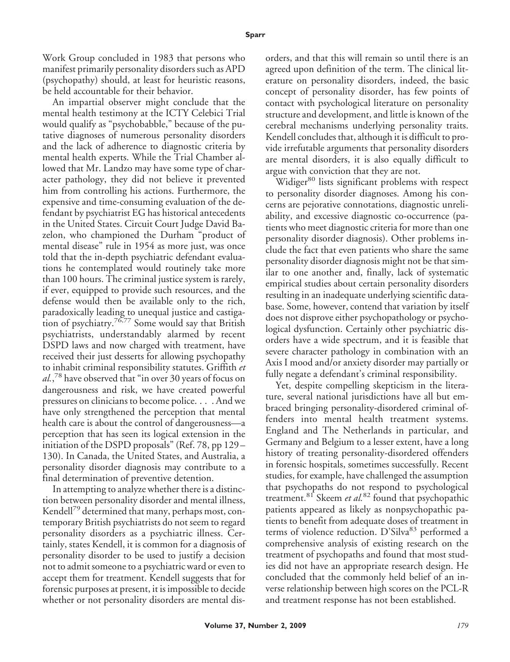Work Group concluded in 1983 that persons who manifest primarily personality disorders such as APD (psychopathy) should, at least for heuristic reasons, be held accountable for their behavior.

An impartial observer might conclude that the mental health testimony at the ICTY Celebici Trial would qualify as "psychobabble," because of the putative diagnoses of numerous personality disorders and the lack of adherence to diagnostic criteria by mental health experts. While the Trial Chamber allowed that Mr. Landzo may have some type of character pathology, they did not believe it prevented him from controlling his actions. Furthermore, the expensive and time-consuming evaluation of the defendant by psychiatrist EG has historical antecedents in the United States. Circuit Court Judge David Bazelon, who championed the Durham "product of mental disease" rule in 1954 as more just, was once told that the in-depth psychiatric defendant evaluations he contemplated would routinely take more than 100 hours. The criminal justice system is rarely, if ever, equipped to provide such resources, and the defense would then be available only to the rich, paradoxically leading to unequal justice and castigation of psychiatry.<sup>76,77</sup> Some would say that British psychiatrists, understandably alarmed by recent DSPD laws and now charged with treatment, have received their just desserts for allowing psychopathy to inhabit criminal responsibility statutes. Griffith *et al.*, <sup>78</sup> have observed that "in over 30 years of focus on dangerousness and risk, we have created powerful pressures on clinicians to become police. . . . And we have only strengthened the perception that mental health care is about the control of dangerousness—a perception that has seen its logical extension in the initiation of the DSPD proposals" (Ref. 78, pp 129 – 130). In Canada, the United States, and Australia, a personality disorder diagnosis may contribute to a final determination of preventive detention.

In attempting to analyze whether there is a distinction between personality disorder and mental illness, Kendell<sup> $\prime$ 9</sup> determined that many, perhaps most, contemporary British psychiatrists do not seem to regard personality disorders as a psychiatric illness. Certainly, states Kendell, it is common for a diagnosis of personality disorder to be used to justify a decision not to admit someone to a psychiatric ward or even to accept them for treatment. Kendell suggests that for forensic purposes at present, it is impossible to decide whether or not personality disorders are mental disorders, and that this will remain so until there is an agreed upon definition of the term. The clinical literature on personality disorders, indeed, the basic concept of personality disorder, has few points of contact with psychological literature on personality structure and development, and little is known of the cerebral mechanisms underlying personality traits. Kendell concludes that, although it is difficult to provide irrefutable arguments that personality disorders are mental disorders, it is also equally difficult to argue with conviction that they are not.

Widiger<sup>80</sup> lists significant problems with respect to personality disorder diagnoses. Among his concerns are pejorative connotations, diagnostic unreliability, and excessive diagnostic co-occurrence (patients who meet diagnostic criteria for more than one personality disorder diagnosis). Other problems include the fact that even patients who share the same personality disorder diagnosis might not be that similar to one another and, finally, lack of systematic empirical studies about certain personality disorders resulting in an inadequate underlying scientific database. Some, however, contend that variation by itself does not disprove either psychopathology or psychological dysfunction. Certainly other psychiatric disorders have a wide spectrum, and it is feasible that severe character pathology in combination with an Axis I mood and/or anxiety disorder may partially or fully negate a defendant's criminal responsibility.

Yet, despite compelling skepticism in the literature, several national jurisdictions have all but embraced bringing personality-disordered criminal offenders into mental health treatment systems. England and The Netherlands in particular, and Germany and Belgium to a lesser extent, have a long history of treating personality-disordered offenders in forensic hospitals, sometimes successfully. Recent studies, for example, have challenged the assumption that psychopaths do not respond to psychological treatment.<sup>81</sup> Skeem *et al.*<sup>82</sup> found that psychopathic patients appeared as likely as nonpsychopathic patients to benefit from adequate doses of treatment in terms of violence reduction. D'Silva<sup>83</sup> performed a comprehensive analysis of existing research on the treatment of psychopaths and found that most studies did not have an appropriate research design. He concluded that the commonly held belief of an inverse relationship between high scores on the PCL-R and treatment response has not been established.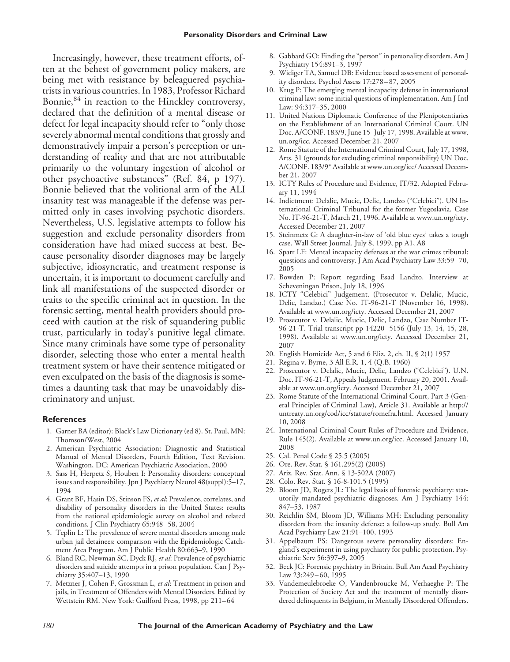Increasingly, however, these treatment efforts, often at the behest of government policy makers, are being met with resistance by beleaguered psychiatrists in various countries. In 1983, Professor Richard Bonnie, $84$  in reaction to the Hinckley controversy, declared that the definition of a mental disease or defect for legal incapacity should refer to "only those severely abnormal mental conditions that grossly and demonstratively impair a person's perception or understanding of reality and that are not attributable primarily to the voluntary ingestion of alcohol or other psychoactive substances" (Ref. 84, p 197). Bonnie believed that the volitional arm of the ALI insanity test was manageable if the defense was permitted only in cases involving psychotic disorders. Nevertheless, U.S. legislative attempts to follow his suggestion and exclude personality disorders from consideration have had mixed success at best. Because personality disorder diagnoses may be largely subjective, idiosyncratic, and treatment response is uncertain, it is important to document carefully and link all manifestations of the suspected disorder or traits to the specific criminal act in question. In the forensic setting, mental health providers should proceed with caution at the risk of squandering public trust, particularly in today's punitive legal climate. Since many criminals have some type of personality disorder, selecting those who enter a mental health treatment system or have their sentence mitigated or even exculpated on the basis of the diagnosis is sometimes a daunting task that may be unavoidably discriminatory and unjust.

#### **References**

- 1. Garner BA (editor): Black's Law Dictionary (ed 8). St. Paul, MN: Thomson/West, 2004
- 2. American Psychiatric Association: Diagnostic and Statistical Manual of Mental Disorders, Fourth Edition, Text Revision. Washington, DC: American Psychiatric Association, 2000
- 3. Sass H, Herpetz S, Houben I: Personality disorders: conceptual issues and responsibility. Jpn J Psychiatry Neurol 48(suppl):5–17, 1994
- 4. Grant BF, Hasin DS, Stinson FS, *et al*: Prevalence, correlates, and disability of personality disorders in the United States: results from the national epidemiologic survey on alcohol and related conditions. J Clin Psychiatry 65:948 –58, 2004
- 5. Teplin L: The prevalence of severe mental disorders among male urban jail detainees: comparison with the Epidemiologic Catchment Area Program. Am J Public Health 80:663–9, 1990
- 6. Bland RC, Newman SC, Dyck RJ, *et al*: Prevalence of psychiatric disorders and suicide attempts in a prison population. Can J Psychiatry 35:407–13, 1990
- 7. Metzner J, Cohen F, Grossman L, *et al*: Treatment in prison and jails, in Treatment of Offenders with Mental Disorders. Edited by Wettstein RM. New York: Guilford Press, 1998, pp 211-64
- 8. Gabbard GO: Finding the "person" in personality disorders. Am J Psychiatry 154:891–3, 1997
- 9. Widiger TA, Samuel DB: Evidence based assessment of personality disorders. Psychol Assess 17:278 – 87, 2005
- 10. Krug P: The emerging mental incapacity defense in international criminal law: some initial questions of implementation. Am J Intl Law: 94:317–35, 2000
- 11. United Nations Diplomatic Conference of the Plenipotentiaries on the Establishment of an International Criminal Court. UN Doc. A/CONF. 183/9, June 15–July 17, 1998. Available at www. un.org/icc. Accessed December 21, 2007
- 12. Rome Statute of the International Criminal Court, July 17, 1998, Arts. 31 (grounds for excluding criminal responsibility) UN Doc. A/CONF. 183/9\* Available at www.un.org/icc/ Accessed December 21, 2007
- 13. ICTY Rules of Procedure and Evidence, IT/32. Adopted February 11, 1994
- 14. Indictment: Delalic, Mucic, Delic, Landzo ("Celebici"). UN International Criminal Tribunal for the former Yugoslavia. Case No. IT-96-21-T, March 21, 1996. Available at www.un.org/icty. Accessed December 21, 2007
- 15. Steinmetz G: A daughter-in-law of 'old blue eyes' takes a tough case. Wall Street Journal. July 8, 1999, pp A1, A8
- 16. Sparr LF: Mental incapacity defenses at the war crimes tribunal: questions and controversy. J Am Acad Psychiatry Law 33:59 –70, 2005
- 17. Bowden P: Report regarding Esad Landzo. Interview at Scheveningan Prison, July 18, 1996
- 18. ICTY "Celebici" Judgement. (Prosecutor v. Delalic, Mucic, Delic, Landzo.) Case No. IT-96-21-T (November 16, 1998). Available at www.un.org/icty. Accessed December 21, 2007
- 19. Prosecutor v. Delalic, Mucic, Delic, Landzo, Case Number IT-96-21-T. Trial transcript pp 14220 –5156 (July 13, 14, 15, 28, 1998). Available at www.un.org/icty. Accessed December 21, 2007
- 20. English Homicide Act, 5 and 6 Eliz. 2, ch. II, § 2(1) 1957
- 21. Regina v. Byrne, 3 All E.R. 1, 4 (Q.B. 1960)
- 22. Prosecutor v. Delalic, Mucic, Delic, Landzo ("Celebici"). U.N. Doc. IT-96-21-T, Appeals Judgement. February 20, 2001. Available at www.un.org/icty. Accessed December 21, 2007
- 23. Rome Statute of the International Criminal Court, Part 3 (General Principles of Criminal Law), Article 31. Available at http:// untreaty.un.org/cod/icc/statute/romefra.html. Accessed January 10, 2008
- 24. International Criminal Court Rules of Procedure and Evidence, Rule 145(2). Available at www.un.org/icc. Accessed January 10, 2008
- 25. Cal. Penal Code § 25.5 (2005)
- 26. Ore. Rev. Stat. § 161.295(2) (2005)
- 27. Ariz. Rev. Stat. Ann. § 13-502A (2007)
- 28. Colo. Rev. Stat. § 16-8-101.5 (1995)
- 29. Bloom JD, Rogers JL: The legal basis of forensic psychiatry: statutorily mandated psychiatric diagnoses. Am J Psychiatry 144: 847–53, 1987
- 30. Reichlin SM, Bloom JD, Williams MH: Excluding personality disorders from the insanity defense: a follow-up study. Bull Am Acad Psychiatry Law 21:91–100, 1993
- 31. Appelbaum PS: Dangerous severe personality disorders: England's experiment in using psychiatry for public protection. Psychiatric Serv 56:397–9, 2005
- 32. Beck JC: Forensic psychiatry in Britain. Bull Am Acad Psychiatry Law 23:249 – 60, 1995
- 33. Vandemeulebroeke O, Vandenbroucke M, Verhaeghe P: The Protection of Society Act and the treatment of mentally disordered delinquents in Belgium, in Mentally Disordered Offenders.